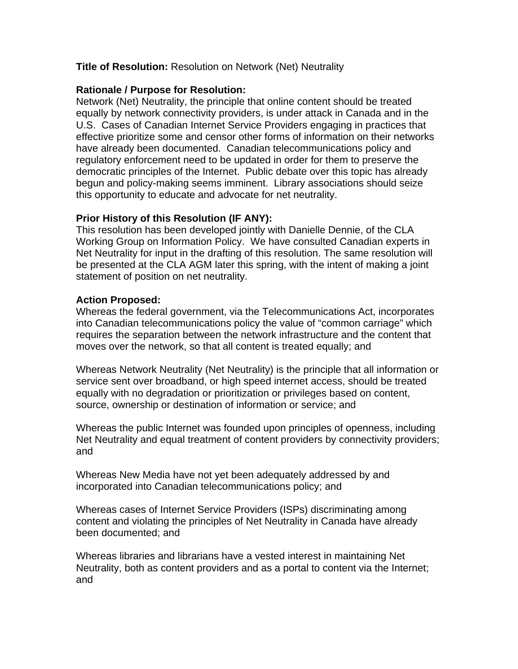# **Title of Resolution:** Resolution on Network (Net) Neutrality

# **Rationale / Purpose for Resolution:**

Network (Net) Neutrality, the principle that online content should be treated equally by network connectivity providers, is under attack in Canada and in the U.S. Cases of Canadian Internet Service Providers engaging in practices that effective prioritize some and censor other forms of information on their networks have already been documented. Canadian telecommunications policy and regulatory enforcement need to be updated in order for them to preserve the democratic principles of the Internet. Public debate over this topic has already begun and policy-making seems imminent. Library associations should seize this opportunity to educate and advocate for net neutrality.

# **Prior History of this Resolution (IF ANY):**

This resolution has been developed jointly with Danielle Dennie, of the CLA Working Group on Information Policy. We have consulted Canadian experts in Net Neutrality for input in the drafting of this resolution. The same resolution will be presented at the CLA AGM later this spring, with the intent of making a joint statement of position on net neutrality.

# **Action Proposed:**

Whereas the federal government, via the Telecommunications Act, incorporates into Canadian telecommunications policy the value of "common carriage" which requires the separation between the network infrastructure and the content that moves over the network, so that all content is treated equally; and

Whereas Network Neutrality (Net Neutrality) is the principle that all information or service sent over broadband, or high speed internet access, should be treated equally with no degradation or prioritization or privileges based on content, source, ownership or destination of information or service; and

Whereas the public Internet was founded upon principles of openness, including Net Neutrality and equal treatment of content providers by connectivity providers; and

Whereas New Media have not yet been adequately addressed by and incorporated into Canadian telecommunications policy; and

Whereas cases of Internet Service Providers (ISPs) discriminating among content and violating the principles of Net Neutrality in Canada have already been documented; and

Whereas libraries and librarians have a vested interest in maintaining Net Neutrality, both as content providers and as a portal to content via the Internet; and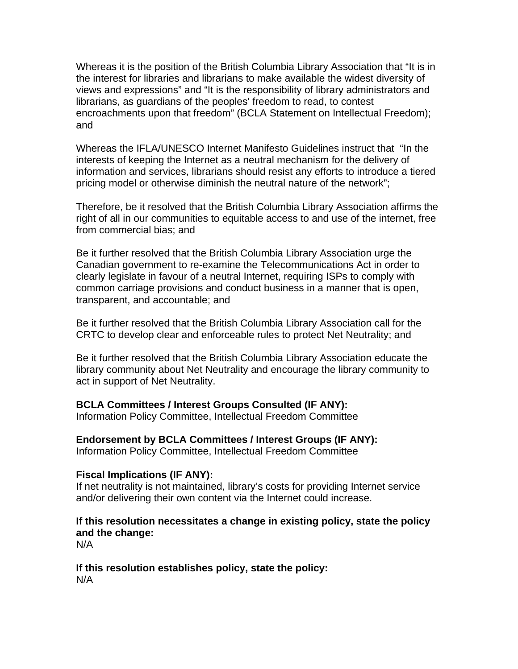Whereas it is the position of the British Columbia Library Association that "It is in the interest for libraries and librarians to make available the widest diversity of views and expressions" and "It is the responsibility of library administrators and librarians, as guardians of the peoples' freedom to read, to contest encroachments upon that freedom" (BCLA Statement on Intellectual Freedom); and

Whereas the IFLA/UNESCO Internet Manifesto Guidelines instruct that "In the interests of keeping the Internet as a neutral mechanism for the delivery of information and services, librarians should resist any efforts to introduce a tiered pricing model or otherwise diminish the neutral nature of the network";

Therefore, be it resolved that the British Columbia Library Association affirms the right of all in our communities to equitable access to and use of the internet, free from commercial bias; and

Be it further resolved that the British Columbia Library Association urge the Canadian government to re-examine the Telecommunications Act in order to clearly legislate in favour of a neutral Internet, requiring ISPs to comply with common carriage provisions and conduct business in a manner that is open, transparent, and accountable; and

Be it further resolved that the British Columbia Library Association call for the CRTC to develop clear and enforceable rules to protect Net Neutrality; and

Be it further resolved that the British Columbia Library Association educate the library community about Net Neutrality and encourage the library community to act in support of Net Neutrality.

# **BCLA Committees / Interest Groups Consulted (IF ANY):**

Information Policy Committee, Intellectual Freedom Committee

**Endorsement by BCLA Committees / Interest Groups (IF ANY):** 

Information Policy Committee, Intellectual Freedom Committee

#### **Fiscal Implications (IF ANY):**

If net neutrality is not maintained, library's costs for providing Internet service and/or delivering their own content via the Internet could increase.

# **If this resolution necessitates a change in existing policy, state the policy and the change:**

N/A

#### **If this resolution establishes policy, state the policy:**  N/A